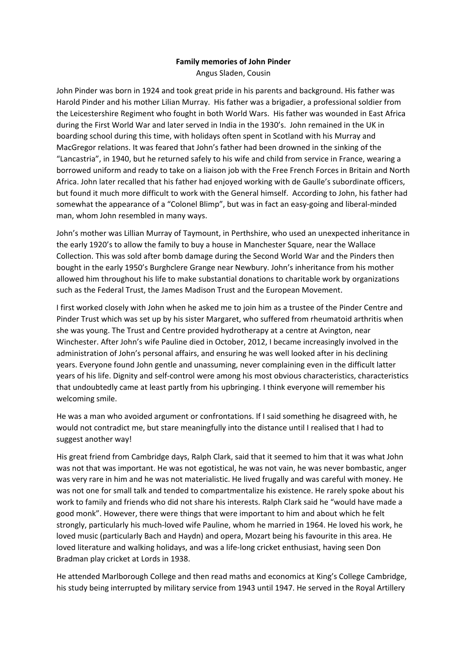## **Family memories of John Pinder**

Angus Sladen, Cousin

John Pinder was born in 1924 and took great pride in his parents and background. His father was Harold Pinder and his mother Lilian Murray. His father was a brigadier, a professional soldier from the Leicestershire Regiment who fought in both World Wars. His father was wounded in East Africa during the First World War and later served in India in the 1930's. John remained in the UK in boarding school during this time, with holidays often spent in Scotland with his Murray and MacGregor relations. It was feared that John's father had been drowned in the sinking of the "Lancastria", in 1940, but he returned safely to his wife and child from service in France, wearing a borrowed uniform and ready to take on a liaison job with the Free French Forces in Britain and North Africa. John later recalled that his father had enjoyed working with de Gaulle's subordinate officers, but found it much more difficult to work with the General himself. According to John, his father had somewhat the appearance of a "Colonel Blimp", but was in fact an easy-going and liberal-minded man, whom John resembled in many ways.

John's mother was Lillian Murray of Taymount, in Perthshire, who used an unexpected inheritance in the early 1920's to allow the family to buy a house in Manchester Square, near the Wallace Collection. This was sold after bomb damage during the Second World War and the Pinders then bought in the early 1950's Burghclere Grange near Newbury. John's inheritance from his mother allowed him throughout his life to make substantial donations to charitable work by organizations such as the Federal Trust, the James Madison Trust and the European Movement.

I first worked closely with John when he asked me to join him as a trustee of the Pinder Centre and Pinder Trust which was set up by his sister Margaret, who suffered from rheumatoid arthritis when she was young. The Trust and Centre provided hydrotherapy at a centre at Avington, near Winchester. After John's wife Pauline died in October, 2012, I became increasingly involved in the administration of John's personal affairs, and ensuring he was well looked after in his declining years. Everyone found John gentle and unassuming, never complaining even in the difficult latter years of his life. Dignity and self‐control were among his most obvious characteristics, characteristics that undoubtedly came at least partly from his upbringing. I think everyone will remember his welcoming smile.

He was a man who avoided argument or confrontations. If I said something he disagreed with, he would not contradict me, but stare meaningfully into the distance until I realised that I had to suggest another way!

His great friend from Cambridge days, Ralph Clark, said that it seemed to him that it was what John was not that was important. He was not egotistical, he was not vain, he was never bombastic, anger was very rare in him and he was not materialistic. He lived frugally and was careful with money. He was not one for small talk and tended to compartmentalize his existence. He rarely spoke about his work to family and friends who did not share his interests. Ralph Clark said he "would have made a good monk". However, there were things that were important to him and about which he felt strongly, particularly his much‐loved wife Pauline, whom he married in 1964. He loved his work, he loved music (particularly Bach and Haydn) and opera, Mozart being his favourite in this area. He loved literature and walking holidays, and was a life‐long cricket enthusiast, having seen Don Bradman play cricket at Lords in 1938.

He attended Marlborough College and then read maths and economics at King's College Cambridge, his study being interrupted by military service from 1943 until 1947. He served in the Royal Artillery